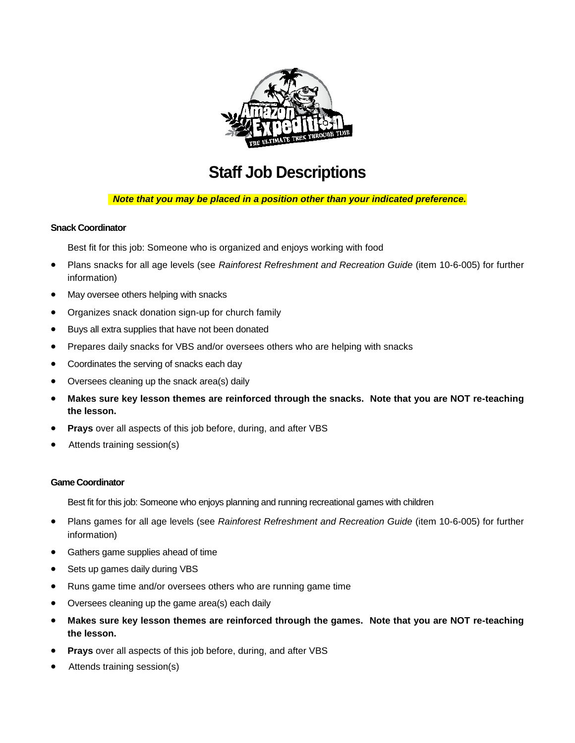

# **Staff Job Descriptions**

## *Note that you may be placed in a position other than your indicated preference.*

## **Snack Coordinator**

Best fit for this job: Someone who is organized and enjoys working with food

- Plans snacks for all age levels (see *Rainforest Refreshment and Recreation Guide* (item 10-6-005) for further information)
- May oversee others helping with snacks
- Organizes snack donation sign-up for church family
- Buys all extra supplies that have not been donated
- Prepares daily snacks for VBS and/or oversees others who are helping with snacks
- Coordinates the serving of snacks each day
- Oversees cleaning up the snack area(s) daily
- **Makes sure key lesson themes are reinforced through the snacks. Note that you are NOT re-teaching the lesson.**
- **Prays** over all aspects of this job before, during, and after VBS
- Attends training session(s)

## **Game Coordinator**

Best fit for this job: Someone who enjoys planning and running recreational games with children

- Plans games for all age levels (see *Rainforest Refreshment and Recreation Guide* (item 10-6-005) for further information)
- Gathers game supplies ahead of time
- Sets up games daily during VBS
- Runs game time and/or oversees others who are running game time
- Oversees cleaning up the game area(s) each daily
- **Makes sure key lesson themes are reinforced through the games. Note that you are NOT re-teaching the lesson.**
- **Prays** over all aspects of this job before, during, and after VBS
- Attends training session(s)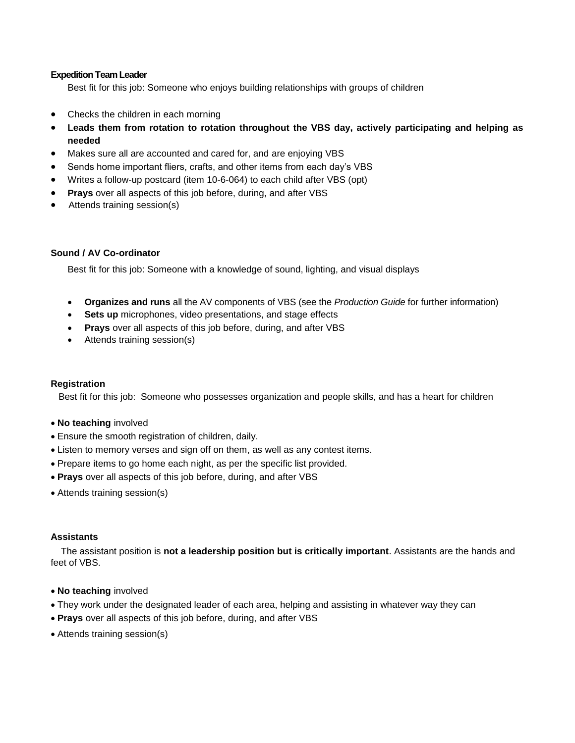## **Expedition Team Leader**

Best fit for this job: Someone who enjoys building relationships with groups of children

- Checks the children in each morning
- **Leads them from rotation to rotation throughout the VBS day, actively participating and helping as needed**
- Makes sure all are accounted and cared for, and are enjoying VBS
- Sends home important fliers, crafts, and other items from each day's VBS
- Writes a follow-up postcard (item 10-6-064) to each child after VBS (opt)
- **Prays** over all aspects of this job before, during, and after VBS
- Attends training session(s)

## **Sound / AV Co-ordinator**

Best fit for this job: Someone with a knowledge of sound, lighting, and visual displays

- **Organizes and runs** all the AV components of VBS (see the *Production Guide* for further information)
- **Sets up** microphones, video presentations, and stage effects
- **Prays** over all aspects of this job before, during, and after VBS
- Attends training session(s)

## **Registration**

Best fit for this job: Someone who possesses organization and people skills, and has a heart for children

- **No teaching** involved
- Ensure the smooth registration of children, daily.
- Listen to memory verses and sign off on them, as well as any contest items.
- Prepare items to go home each night, as per the specific list provided.
- **Prays** over all aspects of this job before, during, and after VBS
- Attends training session(s)

## **Assistants**

The assistant position is **not a leadership position but is critically important**. Assistants are the hands and feet of VBS.

- **No teaching** involved
- They work under the designated leader of each area, helping and assisting in whatever way they can
- **Prays** over all aspects of this job before, during, and after VBS
- Attends training session(s)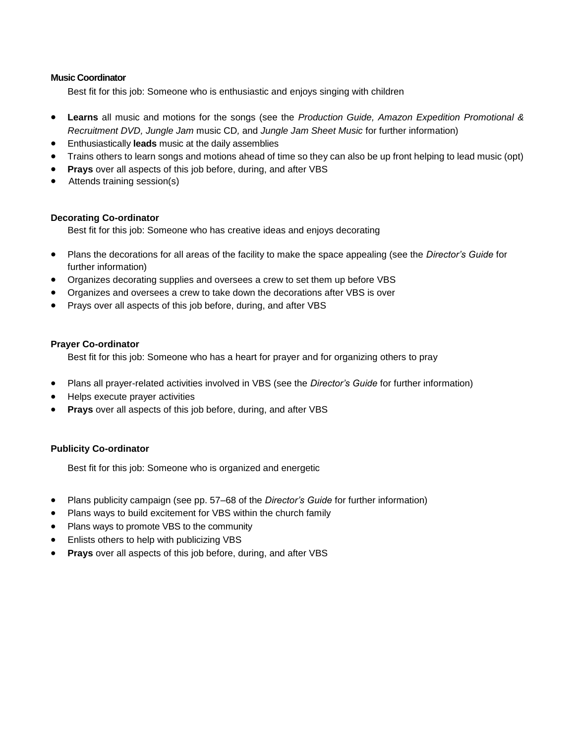## **Music Coordinator**

Best fit for this job: Someone who is enthusiastic and enjoys singing with children

- **Learns** all music and motions for the songs (see the *Production Guide, Amazon Expedition Promotional & Recruitment DVD, Jungle Jam* music CD*,* and *Jungle Jam Sheet Music* for further information)
- Enthusiastically **leads** music at the daily assemblies
- Trains others to learn songs and motions ahead of time so they can also be up front helping to lead music (opt)
- **Prays** over all aspects of this job before, during, and after VBS
- Attends training session(s)

## **Decorating Co-ordinator**

Best fit for this job: Someone who has creative ideas and enjoys decorating

- Plans the decorations for all areas of the facility to make the space appealing (see the *Director's Guide* for further information)
- Organizes decorating supplies and oversees a crew to set them up before VBS
- Organizes and oversees a crew to take down the decorations after VBS is over
- Prays over all aspects of this job before, during, and after VBS

#### **Prayer Co-ordinator**

Best fit for this job: Someone who has a heart for prayer and for organizing others to pray

- Plans all prayer-related activities involved in VBS (see the *Director's Guide* for further information)
- Helps execute prayer activities
- **Prays** over all aspects of this job before, during, and after VBS

## **Publicity Co-ordinator**

Best fit for this job: Someone who is organized and energetic

- Plans publicity campaign (see pp. 57–68 of the *Director's Guide* for further information)
- Plans ways to build excitement for VBS within the church family
- Plans ways to promote VBS to the community
- Enlists others to help with publicizing VBS
- **Prays** over all aspects of this job before, during, and after VBS